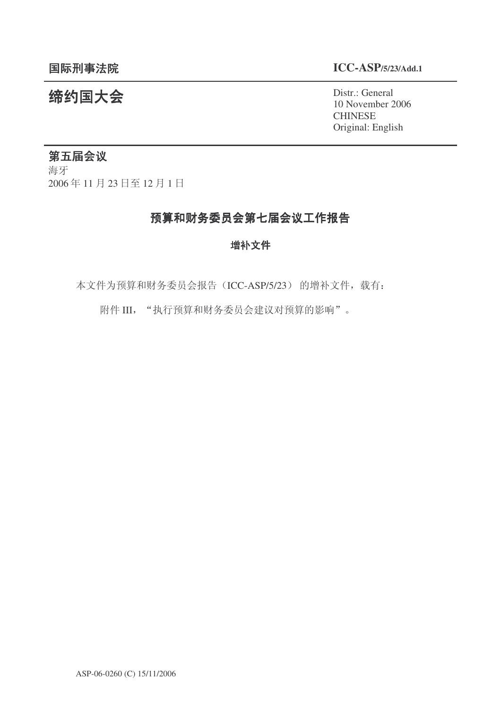#### 䰙ߥџ⊩䰶 **ICC-ASP/5/23/Add.1**

10 November 2006 **CHINESE** Original: English

# **缔约国大会**<br>
20 November 2

### 第五届会议

海牙 2006年11月23日至12月1日

### 预算和财务委员会第七届会议工作报告

#### 增补文件

本文件为预算和财务委员会报告(ICC-ASP/5/23) 的增补文件, 载有:

附件 III, "执行预算和财务委员会建议对预算的影响"。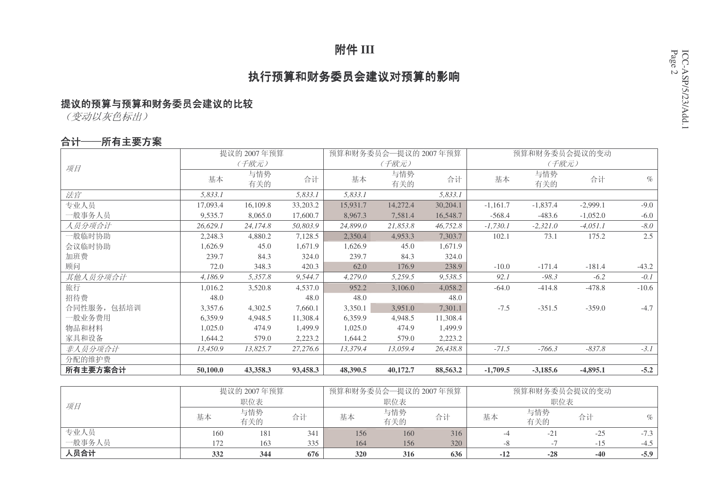# 附件 III

### 执行预算和财务委员会建议对预算的影响

### 提议的预算与预算和财务委员会建议的比较

(变动以灰色标出)

#### 合计——所有主要方案

|             |          | 提议的 2007年预算 |          |          | 预算和财务委员会一提议的 2007年预算 |          |            | 预算和财务委员会提议的变动 |            |         |
|-------------|----------|-------------|----------|----------|----------------------|----------|------------|---------------|------------|---------|
| 项目          |          | (千欧元)       |          |          | (千欧元)                |          |            | (千欧元)         |            |         |
|             | 基本       | 与情势<br>有关的  | 合计       | 基本       | 与情势<br>有关的           | 合计       | 基本         | 与情势<br>有关的    | 合计         | $\%$    |
| 法官          | 5,833.1  |             | 5,833.1  | 5,833.1  |                      | 5,833.1  |            |               |            |         |
| 专业人员        | 17,093.4 | 16,109.8    | 33,203.2 | 15,931.7 | 14,272.4             | 30,204.1 | $-1,161.7$ | $-1,837.4$    | $-2,999.1$ | $-9.0$  |
| 一般事务人员      | 9,535.7  | 8,065.0     | 17,600.7 | 8,967.3  | 7,581.4              | 16,548.7 | $-568.4$   | $-483.6$      | $-1,052.0$ | $-6.0$  |
| 人员分项合计      | 26,629.1 | 24,174.8    | 50,803.9 | 24,899.0 | 21,853.8             | 46,752.8 | $-1,730.1$ | $-2,321.0$    | $-4,051.1$ | $-8.0$  |
| 一般临时协助      | 2,248.3  | 4,880.2     | 7,128.5  | 2,350.4  | 4,953.3              | 7,303.7  | 102.1      | 73.1          | 175.2      | 2.5     |
| 会议临时协助      | 1,626.9  | 45.0        | 1,671.9  | 1,626.9  | 45.0                 | 1,671.9  |            |               |            |         |
| 加班费         | 239.7    | 84.3        | 324.0    | 239.7    | 84.3                 | 324.0    |            |               |            |         |
| 顾问          | 72.0     | 348.3       | 420.3    | 62.0     | 176.9                | 238.9    | $-10.0$    | $-171.4$      | $-181.4$   | $-43.2$ |
| 其他人员分项合计    | 4,186.9  | 5,357.8     | 9,544.7  | 4,279.0  | 5,259.5              | 9,538.5  | 92.1       | $-98.3$       | $-6.2$     | $-0.1$  |
| 旅行          | 1,016.2  | 3,520.8     | 4,537.0  | 952.2    | 3,106.0              | 4,058.2  | $-64.0$    | $-414.8$      | $-478.8$   | $-10.6$ |
| 招待费         | 48.0     |             | 48.0     | 48.0     |                      | 48.0     |            |               |            |         |
| 合同性服务, 包括培训 | 3,357.6  | 4,302.5     | 7,660.1  | 3,350.1  | 3,951.0              | 7,301.1  | $-7.5$     | $-351.5$      | $-359.0$   | $-4.7$  |
| 一般业务费用      | 6,359.9  | 4,948.5     | 11,308.4 | 6,359.9  | 4,948.5              | 11,308.4 |            |               |            |         |
| 物品和材料       | 1,025.0  | 474.9       | 1,499.9  | 1,025.0  | 474.9                | 1,499.9  |            |               |            |         |
| 家具和设备       | 1,644.2  | 579.0       | 2,223.2  | 1,644.2  | 579.0                | 2,223.2  |            |               |            |         |
| 非人员分项合计     | 13,450.9 | 13,825.7    | 27,276.6 | 13,379.4 | 13,059.4             | 26,438.8 | $-71.5$    | $-766.3$      | $-837.8$   | $-3.1$  |
| 分配的维护费      |          |             |          |          |                      |          |            |               |            |         |
| 所有主要方案合计    | 50,100.0 | 43,358.3    | 93,458.3 | 48,390.5 | 40,172.7             | 88,563.2 | $-1,709.5$ | $-3,185.6$    | $-4,895.1$ | $-5.2$  |

|        |     | 提议的 2007年预算 |     | 预算和财务委员会一提议的 2007年预算 |            |     | 预算和财务委员会提议的变动 |            |       |        |
|--------|-----|-------------|-----|----------------------|------------|-----|---------------|------------|-------|--------|
| 项目     |     | 职位表         |     |                      | 职位表        |     |               | 职位表        |       |        |
|        | 基本  | 与情势<br>有关的  | 合计  | 基本                   | 与情势<br>有关的 | 合计  | 基本            | 与情势<br>有关的 | 合计    | $\%$   |
| 专业人员   | 160 | 181         | 341 | 156                  | 160        | 316 |               |            | $-25$ | $-7.3$ |
| 一般事务人员 | 172 | 163         | 335 | 164                  | 156        | 320 |               |            | $-15$ | $-4.5$ |
| 人员合计   | 332 | 344         | 676 | 320                  | 316        | 636 | $-12$         | $-28$      | $-40$ | $-5.9$ |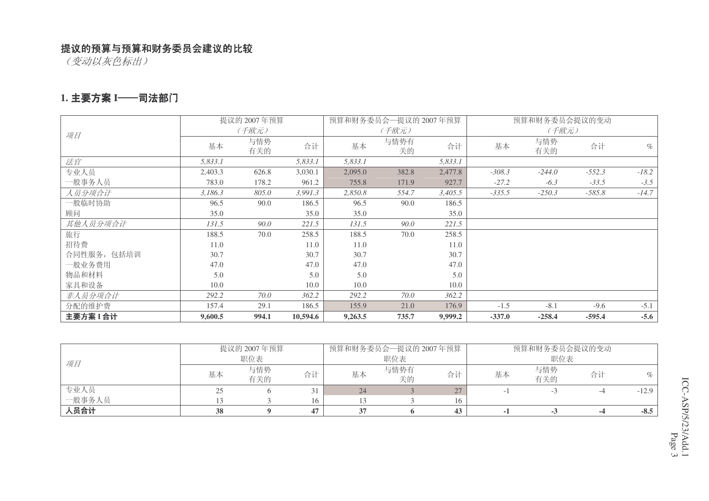(变动以灰色标出)

#### 1. 主要方案 I──司法部门

|             |         | 提议的 2007年预算 |          |         | 预算和财务委员会—提议的 2007年预算 |         |          | 预算和财务委员会提议的变动 |          |         |
|-------------|---------|-------------|----------|---------|----------------------|---------|----------|---------------|----------|---------|
| 项目          |         | (千欧元)       |          |         | (千欧元)                |         |          | (千欧元)         |          |         |
|             | 基本      | 与情势<br>有关的  | 合计       | 基本      | 与情势有<br>关的           | 合计      | 基本       | 与情势<br>有关的    | 合计       | $\%$    |
| 法官          | 5,833.1 |             | 5,833.1  | 5,833.1 |                      | 5,833.1 |          |               |          |         |
| 专业人员        | 2,403.3 | 626.8       | 3,030.1  | 2,095.0 | 382.8                | 2,477.8 | $-308.3$ | $-244.0$      | $-552.3$ | $-18.2$ |
| 一般事务人员      | 783.0   | 178.2       | 961.2    | 755.8   | 171.9                | 927.7   | $-27.2$  | $-6.3$        | $-33.5$  | $-3.5$  |
| 人员分项合计      | 3,186.3 | 805.0       | 3,991.3  | 2,850.8 | 554.7                | 3,405.5 | $-335.5$ | $-250.3$      | $-585.8$ | $-14.7$ |
| 一般临时协助      | 96.5    | 90.0        | 186.5    | 96.5    | 90.0                 | 186.5   |          |               |          |         |
| 顾问          | 35.0    |             | 35.0     | 35.0    |                      | 35.0    |          |               |          |         |
| 其他人员分项合计    | 131.5   | 90.0        | 221.5    | 131.5   | 90.0                 | 221.5   |          |               |          |         |
| 旅行          | 188.5   | 70.0        | 258.5    | 188.5   | 70.0                 | 258.5   |          |               |          |         |
| 招待费         | 11.0    |             | 11.0     | 11.0    |                      | 11.0    |          |               |          |         |
| 合同性服务, 包括培训 | 30.7    |             | 30.7     | 30.7    |                      | 30.7    |          |               |          |         |
| 一般业务费用      | 47.0    |             | 47.0     | 47.0    |                      | 47.0    |          |               |          |         |
| 物品和材料       | 5.0     |             | 5.0      | 5.0     |                      | 5.0     |          |               |          |         |
| 家具和设备       | 10.0    |             | 10.0     | 10.0    |                      | 10.0    |          |               |          |         |
| 非人员分项合计     | 292.2   | 70.0        | 362.2    | 292.2   | 70.0                 | 362.2   |          |               |          |         |
| 分配的维护费      | 157.4   | 29.1        | 186.5    | 155.9   | 21.0                 | 176.9   | $-1.5$   | $-8.1$        | $-9.6$   | $-5.1$  |
| 主要方案 I 合计   | 9,600.5 | 994.1       | 10,594.6 | 9,263.5 | 735.7                | 9,999.2 | $-337.0$ | $-258.4$      | $-595.4$ | $-5.6$  |

|        |     | 提议的 2007年预算 |     | 预算和财务委员会—提议的 2007年预算 |            |    | 预算和财务委员会提议的变动 |            |    |         |
|--------|-----|-------------|-----|----------------------|------------|----|---------------|------------|----|---------|
| 项目     | 职位表 |             |     |                      | 职位表        |    |               | 职位表        |    |         |
|        | 基本  | 与情势<br>有关的  | 合计  | 基本                   | 与情势有<br>关的 | 合计 | 基本            | 与情势<br>有关的 | 合计 |         |
| 专业人员   |     |             |     | 24                   |            | 27 |               |            |    | $-12.9$ |
| 一般事务人员 |     |             | 16. |                      |            | 16 |               |            |    |         |
| 人员合计   | 38  |             | 47  |                      |            | 43 |               | - 7        |    | $-8.5$  |

CC-ASP/5/23/Add.1 P a g e 3 ICC-ASP/5/23/Add.1 Page 3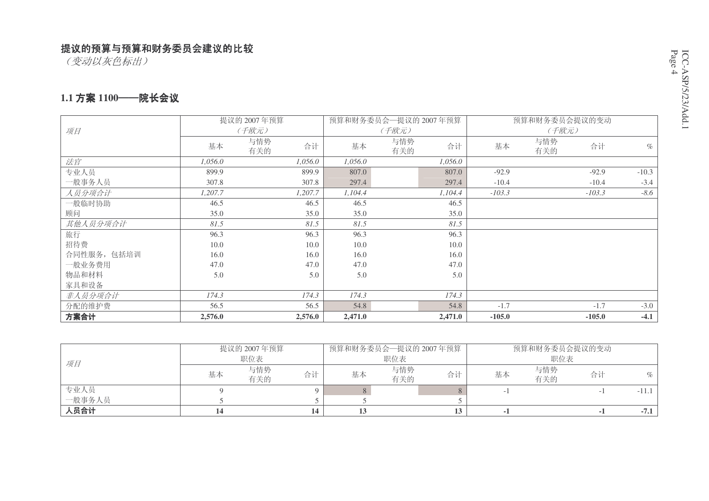(变动以灰色标出)

#### 1.1 方案 1100——院长会议

|             | 预算和财务委员会一提议的 2007年预算<br>预算和财务委员会提议的变动<br>提议的 2007年预算 |                  |         |            |         |          |            |          |         |
|-------------|------------------------------------------------------|------------------|---------|------------|---------|----------|------------|----------|---------|
| 项目          |                                                      | (千欧元)            |         | (千欧元)      |         |          | (千欧元)      |          |         |
|             | 基本                                                   | 与情势<br>合计<br>有关的 | 基本      | 与情势<br>有关的 | 合计      | 基本       | 与情势<br>有关的 | 合计       | $\%$    |
| 法官          | 1.056.0                                              | 1.056.0          | 1,056.0 |            | 1.056.0 |          |            |          |         |
| 专业人员        | 899.9                                                | 899.9            | 807.0   |            | 807.0   | $-92.9$  |            | $-92.9$  | $-10.3$ |
| 一般事务人员      | 307.8                                                | 307.8            | 297.4   |            | 297.4   | $-10.4$  |            | $-10.4$  | $-3.4$  |
| 人员分项合计      | 1,207.7                                              | 1,207.7          | 1,104.4 |            | 1,104.4 | $-103.3$ |            | $-103.3$ | $-8.6$  |
| 一般临时协助      | 46.5                                                 | 46.5             | 46.5    |            | 46.5    |          |            |          |         |
| 顾问          | 35.0                                                 | 35.0             | 35.0    |            | 35.0    |          |            |          |         |
| 其他人员分项合计    | 81.5                                                 | 81.5             | 81.5    |            | 81.5    |          |            |          |         |
| 旅行          | 96.3                                                 | 96.3             | 96.3    |            | 96.3    |          |            |          |         |
| 招待费         | 10.0                                                 | 10.0             | 10.0    |            | 10.0    |          |            |          |         |
| 合同性服务, 包括培训 | 16.0                                                 | 16.0             | 16.0    |            | 16.0    |          |            |          |         |
| 一般业务费用      | 47.0                                                 | 47.0             | 47.0    |            | 47.0    |          |            |          |         |
| 物品和材料       | 5.0                                                  | 5.0              | 5.0     |            | 5.0     |          |            |          |         |
| 家具和设备       |                                                      |                  |         |            |         |          |            |          |         |
| 非人员分项合计     | 174.3                                                | 174.3            | 174.3   |            | 174.3   |          |            |          |         |
| 分配的维护费      | 56.5                                                 | 56.5             | 54.8    |            | 54.8    | $-1.7$   |            | $-1.7$   | $-3.0$  |
| 方案合计        | 2,576.0                                              | 2,576.0          | 2,471.0 |            | 2,471.0 | $-105.0$ |            | $-105.0$ | $-4.1$  |

|             |    | 提议的 2007年预算 |    | 预算和财务委员会—提议的 2007年预算 |            |    | 预算和财务委员会提议的变动 |            |    |         |
|-------------|----|-------------|----|----------------------|------------|----|---------------|------------|----|---------|
| 项目          |    | 职位表         |    |                      | 职位表        |    | 职位表           |            |    |         |
|             | 基本 | 与情势<br>有关的  | 合计 | 基本                   | 与情势<br>有关的 | 合计 | 基本            | 与情势<br>有关的 | 合计 | $\%$    |
| 专业人员        |    |             |    |                      |            |    |               |            |    | $-11.1$ |
| 一般事务人员      |    |             |    |                      |            |    |               |            |    |         |
| <b>\员合计</b> |    |             | 14 |                      |            |    |               |            |    | $-7.1$  |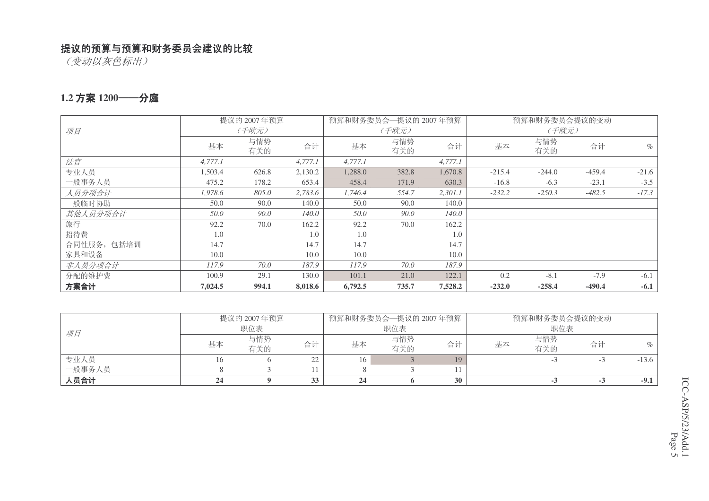(变动以灰色标出)

#### 1.2 方案 1200——分庭

|             |         | 提议的 2007年预算 |         |         | 预算和财务委员会一提议的 2007年预算 |         |          | 预算和财务委员会提议的变动 |          |         |
|-------------|---------|-------------|---------|---------|----------------------|---------|----------|---------------|----------|---------|
| 项目          |         | (千欧元)       |         |         | (千欧元)                |         |          | (千欧元)         |          |         |
|             | 基本      | 与情势<br>有关的  | 合计      | 基本      | 与情势<br>有关的           | 合计      | 基本       | 与情势<br>有关的    | 合计       | $\%$    |
| 法官          | 4,777.1 |             | 4,777.1 | 4,777.1 |                      | 4,777.1 |          |               |          |         |
| 专业人员        | 1,503.4 | 626.8       | 2,130.2 | 1,288.0 | 382.8                | 1,670.8 | $-215.4$ | $-244.0$      | $-459.4$ | $-21.6$ |
| 一般事务人员      | 475.2   | 178.2       | 653.4   | 458.4   | 171.9                | 630.3   | $-16.8$  | $-6.3$        | $-23.1$  | $-3.5$  |
| 人员分项合计      | 1,978.6 | 805.0       | 2,783.6 | 1,746.4 | 554.7                | 2,301.1 | $-232.2$ | $-250.3$      | $-482.5$ | $-17.3$ |
| 一般临时协助      | 50.0    | 90.0        | 140.0   | 50.0    | 90.0                 | 140.0   |          |               |          |         |
| 其他人员分项合计    | 50.0    | 90.0        | 140.0   | 50.0    | 90.0                 | 140.0   |          |               |          |         |
| 旅行          | 92.2    | 70.0        | 162.2   | 92.2    | 70.0                 | 162.2   |          |               |          |         |
| 招待费         | 1.0     |             | 1.0     | 1.0     |                      | 1.0     |          |               |          |         |
| 合同性服务, 包括培训 | 14.7    |             | 14.7    | 14.7    |                      | 14.7    |          |               |          |         |
| 家具和设备       | 10.0    |             | 10.0    | 10.0    |                      | 10.0    |          |               |          |         |
| 非人员分项合计     | 117.9   | 70.0        | 187.9   | 117.9   | 70.0                 | 187.9   |          |               |          |         |
| 分配的维护费      | 100.9   | 29.1        | 130.0   | 101.1   | 21.0                 | 122.1   | 0.2      | $-8.1$        | $-7.9$   | $-6.1$  |
| 方案合计        | 7,024.5 | 994.1       | 8,018.6 | 6,792.5 | 735.7                | 7,528.2 | $-232.0$ | $-258.4$      | $-490.4$ | $-6.1$  |

| 专业人员   | 基本 | 有关的 | 合计<br>22 | 基本<br>16 | 有关的 | 合计 | 基本 | 有关的 | 合计 | $-13.6$ |
|--------|----|-----|----------|----------|-----|----|----|-----|----|---------|
| 一般事务人员 |    |     |          |          |     |    |    |     |    |         |
| 人员合计   | 24 |     | 33       | 24       |     | 30 |    |     |    | $-9.1$  |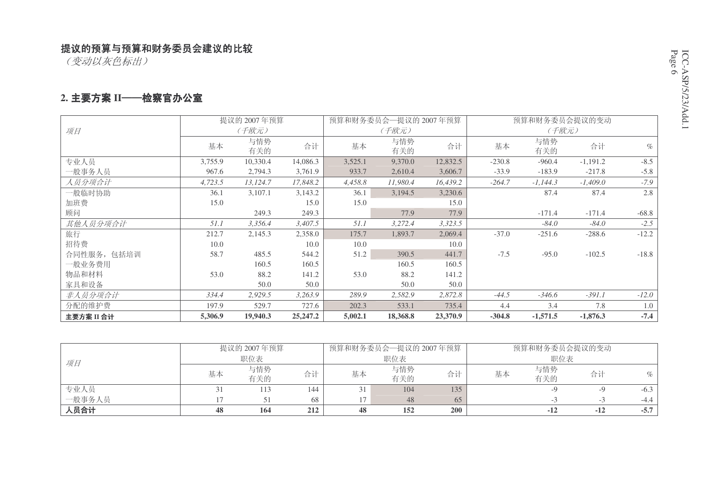(变动以灰色标出)

#### 2. 主要方案 II──检察官办公室

|             | 提议的 2007年预算 |            |            |         | 预算和财务委员会一提议的 2007年预算 |          |          | 预算和财务委员会提议的变动 |            |         |
|-------------|-------------|------------|------------|---------|----------------------|----------|----------|---------------|------------|---------|
| 项目          |             | (千欧元)      |            |         | (千欧元)                |          |          | (千欧元)         |            |         |
|             | 基本          | 与情势<br>有关的 | 合计         | 基本      | 与情势<br>有关的           | 合计       | 基本       | 与情势<br>有关的    | 合计         | $\%$    |
| 专业人员        | 3,755.9     | 10,330.4   | 14,086.3   | 3,525.1 | 9,370.0              | 12,832.5 | $-230.8$ | $-960.4$      | $-1,191.2$ | $-8.5$  |
| 一般事务人员      | 967.6       | 2,794.3    | 3,761.9    | 933.7   | 2,610.4              | 3,606.7  | $-33.9$  | $-183.9$      | $-217.8$   | $-5.8$  |
| 人员分项合计      | 4,723.5     | 13,124.7   | 17,848.2   | 4,458.8 | 11,980.4             | 16,439.2 | $-264.7$ | $-1,144.3$    | $-1,409.0$ | $-7.9$  |
| 一般临时协助      | 36.1        | 3,107.1    | 3,143.2    | 36.1    | 3,194.5              | 3,230.6  |          | 87.4          | 87.4       | 2.8     |
| 加班费         | 15.0        |            | 15.0       | 15.0    |                      | 15.0     |          |               |            |         |
| 顾问          |             | 249.3      | 249.3      |         | 77.9                 | 77.9     |          | $-171.4$      | $-171.4$   | $-68.8$ |
| 其他人员分项合计    | 51.1        | 3,356.4    | 3,407.5    | 51.1    | 3,272.4              | 3,323.5  |          | $-84.0$       | $-84.0$    | $-2.5$  |
| 旅行          | 212.7       | 2,145.3    | 2,358.0    | 175.7   | 1,893.7              | 2,069.4  | $-37.0$  | $-251.6$      | $-288.6$   | $-12.2$ |
| 招待费         | 10.0        |            | 10.0       | 10.0    |                      | 10.0     |          |               |            |         |
| 合同性服务, 包括培训 | 58.7        | 485.5      | 544.2      | 51.2    | 390.5                | 441.7    | $-7.5$   | $-95.0$       | $-102.5$   | $-18.8$ |
| 一般业务费用      |             | 160.5      | 160.5      |         | 160.5                | 160.5    |          |               |            |         |
| 物品和材料       | 53.0        | 88.2       | 141.2      | 53.0    | 88.2                 | 141.2    |          |               |            |         |
| 家具和设备       |             | 50.0       | 50.0       |         | 50.0                 | 50.0     |          |               |            |         |
| 非人员分项合计     | 334.4       | 2,929.5    | 3,263.9    | 289.9   | 2,582.9              | 2,872.8  | $-44.5$  | $-346.6$      | $-391.1$   | $-12.0$ |
| 分配的维护费      | 197.9       | 529.7      | 727.6      | 202.3   | 533.1                | 735.4    | 4.4      | 3.4           | 7.8        | 1.0     |
| 主要方案 II 合计  | 5,306.9     | 19,940.3   | 25, 247. 2 | 5,002.1 | 18,368.8             | 23,370.9 | $-304.8$ | $-1,571.5$    | $-1,876.3$ | $-7.4$  |

|        |    | 提议的 2007年预算 |     |    | 预算和财务委员会—提议的 2007年预算 |     | 预算和财务委员会提议的变动 |     |       |        |
|--------|----|-------------|-----|----|----------------------|-----|---------------|-----|-------|--------|
| 项目     |    | 职位表         |     |    | 职位表                  |     |               | 职位表 |       |        |
|        | 基本 | 与情势         | 合计  | 基本 | 与情势                  | 合计  | 基本            | 与情势 | 合计    | %      |
|        |    | 有关的         |     |    | 有关的                  |     |               | 有关的 |       |        |
| 专业人员   |    | 113         | 144 |    | 104                  | 135 |               |     |       | $-6.3$ |
| 一般事务人员 |    |             | 68  |    | 48                   | 65  |               |     |       | $-4.4$ |
| 人员合计   | 48 | 164         | 212 | 48 | 152                  | 200 |               |     | $-12$ | $-5.7$ |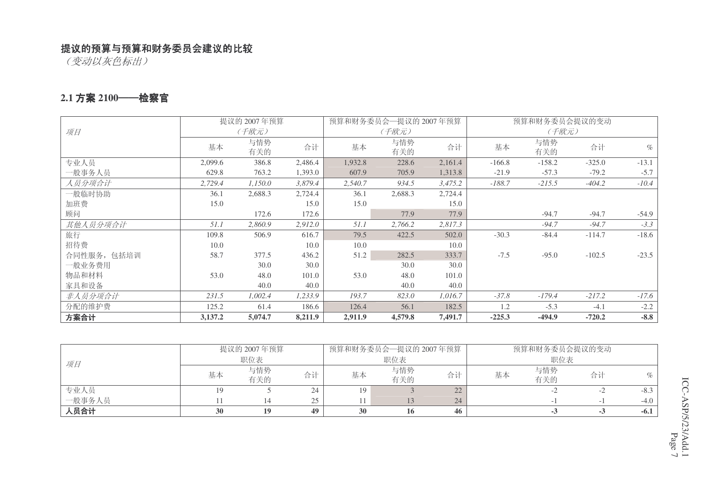(变动以灰色标出)

#### 2.1 方案 2100──检察官

|             |         | 提议的 2007年预算 |         |         | 预算和财务委员会—提议的 2007年预算 |         |          | 预算和财务委员会提议的变动 |          |         |
|-------------|---------|-------------|---------|---------|----------------------|---------|----------|---------------|----------|---------|
| 项目          |         | (千欧元)       |         |         | (千欧元)                |         |          | (千欧元)         |          |         |
|             | 基本      | 与情势<br>有关的  | 合计      | 基本      | 与情势<br>有关的           | 合计      | 基本       | 与情势<br>有关的    | 合计       | $\%$    |
| 专业人员        | 2,099.6 | 386.8       | 2,486.4 | 1,932.8 | 228.6                | 2,161.4 | $-166.8$ | $-158.2$      | $-325.0$ | $-13.1$ |
| 一般事务人员      | 629.8   | 763.2       | 1,393.0 | 607.9   | 705.9                | 1,313.8 | $-21.9$  | $-57.3$       | $-79.2$  | $-5.7$  |
| 人员分项合计      | 2,729.4 | 1,150.0     | 3,879.4 | 2,540.7 | 934.5                | 3,475.2 | $-188.7$ | $-215.5$      | $-404.2$ | $-10.4$ |
| 一般临时协助      | 36.1    | 2,688.3     | 2,724.4 | 36.1    | 2,688.3              | 2,724.4 |          |               |          |         |
| 加班费         | 15.0    |             | 15.0    | 15.0    |                      | 15.0    |          |               |          |         |
| 顾问          |         | 172.6       | 172.6   |         | 77.9                 | 77.9    |          | $-94.7$       | $-94.7$  | $-54.9$ |
| 其他人员分项合计    | 51.1    | 2,860.9     | 2,912.0 | 51.1    | 2,766.2              | 2,817.3 |          | $-94.7$       | $-94.7$  | $-3.3$  |
| 旅行          | 109.8   | 506.9       | 616.7   | 79.5    | 422.5                | 502.0   | $-30.3$  | $-84.4$       | $-114.7$ | $-18.6$ |
| 招待费         | 10.0    |             | 10.0    | 10.0    |                      | 10.0    |          |               |          |         |
| 合同性服务, 包括培训 | 58.7    | 377.5       | 436.2   | 51.2    | 282.5                | 333.7   | $-7.5$   | $-95.0$       | $-102.5$ | $-23.5$ |
| 一般业务费用      |         | 30.0        | 30.0    |         | 30.0                 | 30.0    |          |               |          |         |
| 物品和材料       | 53.0    | 48.0        | 101.0   | 53.0    | 48.0                 | 101.0   |          |               |          |         |
| 家具和设备       |         | 40.0        | 40.0    |         | 40.0                 | 40.0    |          |               |          |         |
| 非人员分项合计     | 231.5   | 1,002.4     | 1,233.9 | 193.7   | 823.0                | 1,016.7 | $-37.8$  | $-179.4$      | $-217.2$ | $-17.6$ |
| 分配的维护费      | 125.2   | 61.4        | 186.6   | 126.4   | 56.1                 | 182.5   | 1.2      | $-5.3$        | $-4.1$   | $-2.2$  |
| 方案合计        | 3,137.2 | 5,074.7     | 8,211.9 | 2,911.9 | 4,579.8              | 7,491.7 | $-225.3$ | $-494.9$      | $-720.2$ | $-8.8$  |

|        |    | 提议的 2007年预算 |    |    | 预算和财务委员会一提议的 2007年预算 |                                | 预算和财务委员会提议的变动 |            |     |        |
|--------|----|-------------|----|----|----------------------|--------------------------------|---------------|------------|-----|--------|
| 项目     |    | 职位表         |    |    | 职位表                  |                                |               | 职位表        |     |        |
|        | 基本 | 与情势<br>有关的  | 合计 | 基本 | 与情势<br>有关的           | 合计                             | 基本            | 与情势<br>有关的 | 合计  | $\%$   |
| 专业人员   |    |             | 24 |    |                      | つつ<br>$\overline{\phantom{m}}$ |               |            |     | $-8.3$ |
| 一般事务人员 |    |             | 25 |    |                      | 24                             |               |            |     | $-4.0$ |
| 人员合计   | 30 | 19          | 49 | 30 | 16                   | 46                             |               | - 3        | - 3 | $-6.1$ |

CC-ASP/5/23/Add.1 <sup>Jage</sup> 7 ICC-ASP/5/23/Add.1 Page 7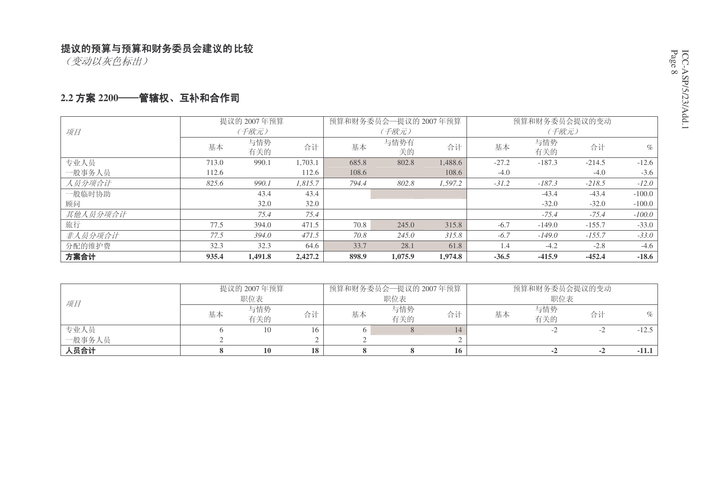(变动以灰色标出)

#### 2.2 方案 2200──**笸辖权、互补和合作司**

|          |       | 提议的 2007年预算 |         |       | 预算和财务委员会一提议的 2007年预算 |         |         | 预算和财务委员会提议的变动 |          |          |
|----------|-------|-------------|---------|-------|----------------------|---------|---------|---------------|----------|----------|
| 项目       |       | (千欧元)       |         |       | (千欧元)                |         |         | (千欧元)         |          |          |
|          | 基本    | 与情势<br>有关的  | 合计      | 基本    | 与情势有<br>关的           | 合计      | 基本      | 与情势<br>有关的    | 合计       | $\%$     |
| 专业人员     | 713.0 | 990.1       | 1,703.1 | 685.8 | 802.8                | 1,488.6 | $-27.2$ | $-187.3$      | $-214.5$ | $-12.6$  |
| 一般事务人员   | 112.6 |             | 112.6   | 108.6 |                      | 108.6   | $-4.0$  |               | $-4.0$   | $-3.6$   |
| 人员分项合计   | 825.6 | 990.1       | 1.815.7 | 794.4 | 802.8                | 1.597.2 | $-31.2$ | $-187.3$      | $-218.5$ | $-12.0$  |
| 一般临时协助   |       | 43.4        | 43.4    |       |                      |         |         | $-43.4$       | $-43.4$  | $-100.0$ |
| 顾问       |       | 32.0        | 32.0    |       |                      |         |         | $-32.0$       | $-32.0$  | $-100.0$ |
| 其他人员分项合计 |       | 75.4        | 75.4    |       |                      |         |         | $-75.4$       | $-75.4$  | $-100.0$ |
| 旅行       | 77.5  | 394.0       | 471.5   | 70.8  | 245.0                | 315.8   | $-6.7$  | $-149.0$      | $-155.7$ | $-33.0$  |
| 非人员分项合计  | 77.5  | 394.0       | 471.5   | 70.8  | 245.0                | 315.8   | $-6.7$  | $-149.0$      | $-155.7$ | $-33.0$  |
| 分配的维护费   | 32.3  | 32.3        | 64.6    | 33.7  | 28.1                 | 61.8    | 1.4     | $-4.2$        | $-2.8$   | $-4.6$   |
| 方案合计     | 935.4 | 1.491.8     | 2,427.2 | 898.9 | 1,075.9              | 1,974.8 | $-36.5$ | $-415.9$      | $-452.4$ | $-18.6$  |

|        |    | 提议的 2007年预算 |    |    | 预算和财务委员会—提议的 2007年预算 |    |    | 预算和财务委员会提议的变动 |    |         |
|--------|----|-------------|----|----|----------------------|----|----|---------------|----|---------|
| 项目     |    | 职位表         |    |    | 职位表                  |    |    | 职位表           |    |         |
|        | 基本 | 与情势         | 合计 | 基本 | 与情势                  | 合计 | 基本 | 与情势           | 合计 | $\%$    |
|        |    | 有关的         |    |    | 有关的                  |    |    | 有关的           |    |         |
| 专业人员   |    |             | 16 |    |                      | 14 |    |               |    | $-12.5$ |
| 一般事务人员 |    |             |    |    |                      |    |    |               |    |         |
| 人员合计   |    | 10          | 18 |    |                      | 16 |    | $-2$          | -4 | $-11.1$ |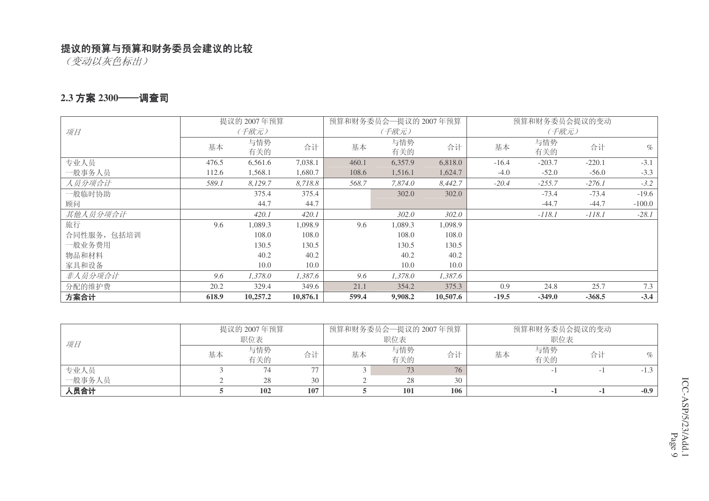(变动以灰色标出)

#### 2.3 方案 2300──调查司

|             |       | 提议的 2007年预算 |          |       | 预算和财务委员会一提议的 2007年预算 |          |         | 预算和财务委员会提议的变动 |          |          |
|-------------|-------|-------------|----------|-------|----------------------|----------|---------|---------------|----------|----------|
| 项目          |       | (千欧元)       |          |       | (千欧元)                |          |         | (千欧元)         |          |          |
|             | 基本    | 与情势         | 合计       | 基本    | 与情势                  | 合计       | 基本      | 与情势           | 合计       | $\%$     |
|             |       | 有关的         |          |       | 有关的                  |          |         | 有关的           |          |          |
| 专业人员        | 476.5 | 6,561.6     | 7,038.1  | 460.1 | 6,357.9              | 6,818.0  | $-16.4$ | $-203.7$      | $-220.1$ | $-3.1$   |
| 一般事务人员      | 112.6 | 1,568.1     | 1,680.7  | 108.6 | 1,516.1              | 1,624.7  | $-4.0$  | $-52.0$       | $-56.0$  | $-3.3$   |
| 人员分项合计      | 589.1 | 8,129.7     | 8,718.8  | 568.7 | 7.874.0              | 8,442.7  | $-20.4$ | $-255.7$      | $-276.1$ | $-3.2$   |
| 一般临时协助      |       | 375.4       | 375.4    |       | 302.0                | 302.0    |         | $-73.4$       | $-73.4$  | $-19.6$  |
| 顾问          |       | 44.7        | 44.7     |       |                      |          |         | $-44.7$       | $-44.7$  | $-100.0$ |
| 其他人员分项合计    |       | 420.1       | 420.1    |       | 302.0                | 302.0    |         | $-118.1$      | $-118.1$ | $-28.1$  |
| 旅行          | 9.6   | 1,089.3     | 1,098.9  | 9.6   | 1,089.3              | 1,098.9  |         |               |          |          |
| 合同性服务, 包括培训 |       | 108.0       | 108.0    |       | 108.0                | 108.0    |         |               |          |          |
| 一般业务费用      |       | 130.5       | 130.5    |       | 130.5                | 130.5    |         |               |          |          |
| 物品和材料       |       | 40.2        | 40.2     |       | 40.2                 | 40.2     |         |               |          |          |
| 家具和设备       |       | 10.0        | 10.0     |       | 10.0                 | 10.0     |         |               |          |          |
| 非人员分项合计     | 9.6   | 1,378.0     | 1,387.6  | 9.6   | 1,378.0              | 1,387.6  |         |               |          |          |
| 分配的维护费      | 20.2  | 329.4       | 349.6    | 21.1  | 354.2                | 375.3    | 0.9     | 24.8          | 25.7     | 7.3      |
| 方案合计        | 618.9 | 10,257.2    | 10,876.1 | 599.4 | 9,908.2              | 10,507.6 | $-19.5$ | $-349.0$      | $-368.5$ | $-3.4$   |

|        |     | 提议的 2007年预算 |     |     | 预算和财务委员会—提议的 2007年预算 |     |     | 预算和财务委员会提议的变动 |    |        |
|--------|-----|-------------|-----|-----|----------------------|-----|-----|---------------|----|--------|
| 项目     | 职位表 |             |     | 职位表 |                      |     | 职位表 |               |    |        |
|        | 基本  | 与情势<br>有关的  | 合计  | 基本  | 与情势<br>有关的           | 合计  | 基本  | 与情势<br>有关的    | 合计 | $\%$   |
| 专业人员   |     |             | 77  |     |                      | 76  |     |               |    | $-1.3$ |
| 一般事务人员 |     | 28          | 30  |     | 28                   | 30  |     |               |    |        |
| 人员合计   |     | 102         | 107 |     | <b>101</b>           | 106 |     |               |    | $-0.9$ |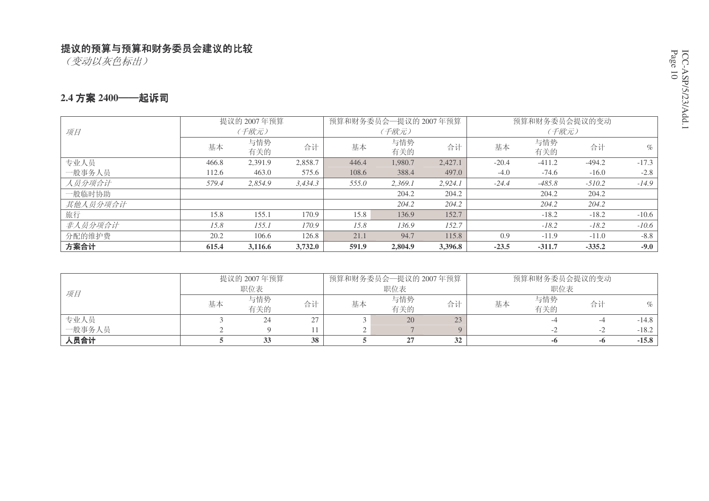(变动以灰色标出)

#### 2.4 方案 2400——起诉司

|          |       | 提议的 2007年预算 |         |       | 预算和财务委员会一提议的 2007年预算 |         |         | 预算和财务委员会提议的变动 |          |         |
|----------|-------|-------------|---------|-------|----------------------|---------|---------|---------------|----------|---------|
| 项目       |       | (千欧元)       |         |       | (千欧元)                |         |         | (千欧元)         |          |         |
|          | 基本    | 与情势         | 合计      | 基本    | 与情势                  | 合计      | 基本      | 与情势           | 合计       | $\%$    |
|          |       | 有关的         |         |       | 有关的                  |         |         | 有关的           |          |         |
| 专业人员     | 466.8 | 2,391.9     | 2,858.7 | 446.4 | 1,980.7              | 2,427.1 | $-20.4$ | $-411.2$      | $-494.2$ | $-17.3$ |
| 一般事务人员   | 112.6 | 463.0       | 575.6   | 108.6 | 388.4                | 497.0   | $-4.0$  | $-74.6$       | $-16.0$  | $-2.8$  |
| 人员分项合计   | 579.4 | 2,854.9     | 3,434.3 | 555.0 | 2.369.1              | 2,924.1 | $-24.4$ | $-485.8$      | $-510.2$ | $-14.9$ |
| 一般临时协助   |       |             |         |       | 204.2                | 204.2   |         | 204.2         | 204.2    |         |
| 其他人员分项合计 |       |             |         |       | 204.2                | 204.2   |         | 204.2         | 204.2    |         |
| 旅行       | 15.8  | 155.1       | 170.9   | 15.8  | 136.9                | 152.7   |         | $-18.2$       | $-18.2$  | $-10.6$ |
| 非人员分项合计  | 15.8  | 155.1       | 170.9   | 15.8  | 136.9                | 152.7   |         | $-18.2$       | $-18.2$  | $-10.6$ |
| 分配的维护费   | 20.2  | 106.6       | 126.8   | 21.1  | 94.7                 | 115.8   | 0.9     | $-11.9$       | $-11.0$  | $-8.8$  |
| 方案合计     | 615.4 | 3,116.6     | 3,732.0 | 591.9 | 2,804.9              | 3,396.8 | $-23.5$ | $-311.7$      | $-335.2$ | $-9.0$  |

|        |    | 提议的 2007年预算 |    |    | 预算和财务委员会—提议的 2007年预算 |    |    | 预算和财务委员会提议的变动 |      |         |
|--------|----|-------------|----|----|----------------------|----|----|---------------|------|---------|
| 项目     |    | 职位表         |    |    | 职位表                  |    |    | 职位表           |      |         |
|        | 基本 | 与情势<br>有关的  | 合计 | 基本 | 与情势<br>有关的           | 合计 | 基本 | 与情势<br>有关的    | 合计   | $\%$    |
| 专业人员   |    | 24          | 27 |    | 20                   |    |    |               |      | $-14.8$ |
| 一般事务人员 |    |             |    |    |                      |    |    |               | $-1$ | $-18.2$ |
| 人员合计   |    |             | 38 |    | $\sim$               | 32 |    | -0            | -0   | $-15.8$ |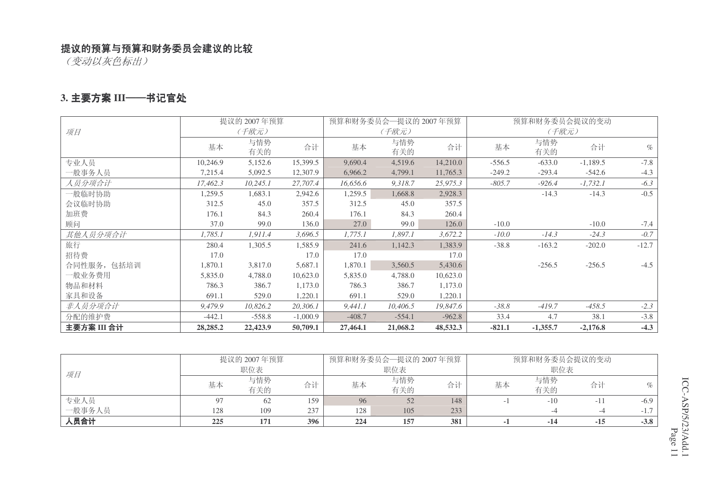(变动以灰色标出)

#### 3. 主要方案 III——书记官处

|             |          | 提议的 2007年预算 |            |          | 预算和财务委员会—提议的 2007年预算 |          |          | 预算和财务委员会提议的变动 |            |         |
|-------------|----------|-------------|------------|----------|----------------------|----------|----------|---------------|------------|---------|
| 项目          |          | (千欧元)       |            |          | (千欧元)                |          |          | (千欧元)         |            |         |
|             | 基本       | 与情势<br>有关的  | 合计         | 基本       | 与情势<br>有关的           | 合计       | 基本       | 与情势<br>有关的    | 合计         | $\%$    |
| 专业人员        | 10,246.9 | 5,152.6     | 15,399.5   | 9,690.4  | 4,519.6              | 14,210.0 | $-556.5$ | $-633.0$      | $-1,189.5$ | $-7.8$  |
| 一般事务人员      | 7,215.4  | 5,092.5     | 12,307.9   | 6,966.2  | 4,799.1              | 11,765.3 | $-249.2$ | $-293.4$      | $-542.6$   | $-4.3$  |
| 人员分项合计      | 17,462.3 | 10,245.1    | 27,707.4   | 16,656.6 | 9,318.7              | 25,975.3 | $-805.7$ | $-926.4$      | $-1,732.1$ | $-6.3$  |
| 一般临时协助      | 1,259.5  | 1,683.1     | 2,942.6    | 1,259.5  | 1,668.8              | 2,928.3  |          | $-14.3$       | $-14.3$    | $-0.5$  |
| 会议临时协助      | 312.5    | 45.0        | 357.5      | 312.5    | 45.0                 | 357.5    |          |               |            |         |
| 加班费         | 176.1    | 84.3        | 260.4      | 176.1    | 84.3                 | 260.4    |          |               |            |         |
| 顾问          | 37.0     | 99.0        | 136.0      | 27.0     | 99.0                 | 126.0    | $-10.0$  |               | $-10.0$    | $-7.4$  |
| 其他人员分项合计    | 1,785.1  | 1,911.4     | 3,696.5    | 1,775.1  | 1,897.1              | 3,672.2  | $-10.0$  | $-14.3$       | $-24.3$    | $-0.7$  |
| 旅行          | 280.4    | 1,305.5     | 1,585.9    | 241.6    | 1,142.3              | 1,383.9  | $-38.8$  | $-163.2$      | $-202.0$   | $-12.7$ |
| 招待费         | 17.0     |             | 17.0       | 17.0     |                      | 17.0     |          |               |            |         |
| 合同性服务, 包括培训 | 1,870.1  | 3,817.0     | 5,687.1    | 1,870.1  | 3,560.5              | 5,430.6  |          | $-256.5$      | $-256.5$   | $-4.5$  |
| 一般业务费用      | 5,835.0  | 4,788.0     | 10,623.0   | 5,835.0  | 4,788.0              | 10,623.0 |          |               |            |         |
| 物品和材料       | 786.3    | 386.7       | 1,173.0    | 786.3    | 386.7                | 1,173.0  |          |               |            |         |
| 家具和设备       | 691.1    | 529.0       | 1,220.1    | 691.1    | 529.0                | 1,220.1  |          |               |            |         |
| 非人员分项合计     | 9,479.9  | 10,826.2    | 20,306.1   | 9,441.1  | 10,406.5             | 19,847.6 | $-38.8$  | $-419.7$      | $-458.5$   | $-2.3$  |
| 分配的维护费      | $-442.1$ | $-558.8$    | $-1,000.9$ | $-408.7$ | $-554.1$             | $-962.8$ | 33.4     | 4.7           | 38.1       | $-3.8$  |
| 主要方案 III 合计 | 28,285.2 | 22,423.9    | 50,709.1   | 27,464.1 | 21,068.2             | 48,532.3 | $-821.1$ | $-1,355.7$    | $-2,176.8$ | $-4.3$  |

|        |     | 提议的 2007年预算 |     |     | 预算和财务委员会一提议的 2007年预算 |     |    | 预算和财务委员会提议的变动 |       |         |
|--------|-----|-------------|-----|-----|----------------------|-----|----|---------------|-------|---------|
| 项目     | 职位表 |             |     |     | 职位表                  |     |    | 职位表           |       |         |
|        | 基本  | 与情势         | 合计  | 基本  | 与情势                  | 合计  | 基本 | 与情势           | 合计    | $\%$    |
|        |     | 有关的         |     |     | 有关的                  |     |    | 有关的           |       |         |
| 专业人员   |     | 62          | 159 | 96  | 52                   | 148 |    | $-10$         |       | $-6.9$  |
| 一般事务人员 | 128 | 109         | 237 | 128 | 105                  | 233 |    |               |       | $-1.$ . |
| 人员合计   | 225 | 171         | 396 | 224 | 157                  | 381 |    | -14           | $-15$ | $-3.8$  |

CC-ASP/5/23/Add.1 Page 11 ICC-ASP/5/23/Add.1 Page 11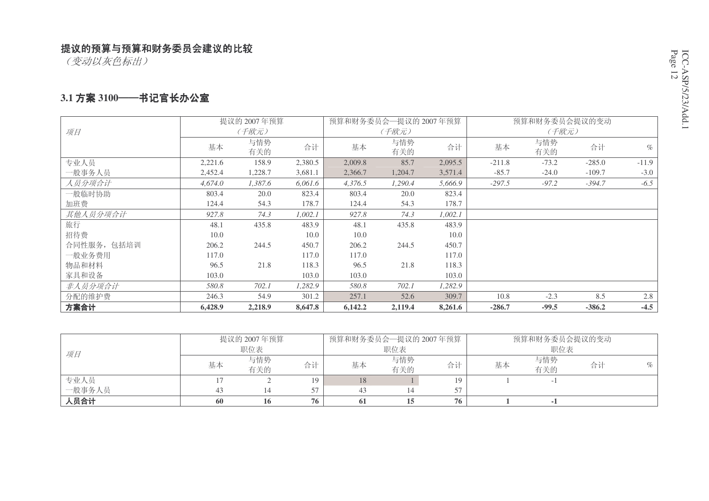(变动以灰色标出)

#### 3.1 方案 3100──书记官长办公室

|             |         | 提议的 2007年预算 |         | 预算和财务委员会一提议的 2007年预算 |            |         |          | 预算和财务委员会提议的变动 |          |         |
|-------------|---------|-------------|---------|----------------------|------------|---------|----------|---------------|----------|---------|
| 项目          |         | (千欧元)       |         |                      | (千欧元)      |         |          | (千欧元)         |          |         |
|             | 基本      | 与情势<br>有关的  | 合计      | 基本                   | 与情势<br>有关的 | 合计      | 基本       | 与情势<br>有关的    | 合计       | $\%$    |
| 专业人员        | 2,221.6 | 158.9       | 2,380.5 | 2,009.8              | 85.7       | 2,095.5 | $-211.8$ | $-73.2$       | $-285.0$ | $-11.9$ |
| 一般事务人员      | 2,452.4 | 1,228.7     | 3,681.1 | 2,366.7              | 1,204.7    | 3,571.4 | $-85.7$  | $-24.0$       | $-109.7$ | $-3.0$  |
| 人员分项合计      | 4,674.0 | 1,387.6     | 6,061.6 | 4,376.5              | 1,290.4    | 5,666.9 | $-297.5$ | $-97.2$       | $-394.7$ | $-6.5$  |
| 一般临时协助      | 803.4   | 20.0        | 823.4   | 803.4                | 20.0       | 823.4   |          |               |          |         |
| 加班费         | 124.4   | 54.3        | 178.7   | 124.4                | 54.3       | 178.7   |          |               |          |         |
| 其他人员分项合计    | 927.8   | 74.3        | 1,002.1 | 927.8                | 74.3       | 1,002.1 |          |               |          |         |
| 旅行          | 48.1    | 435.8       | 483.9   | 48.1                 | 435.8      | 483.9   |          |               |          |         |
| 招待费         | 10.0    |             | 10.0    | 10.0                 |            | 10.0    |          |               |          |         |
| 合同性服务, 包括培训 | 206.2   | 244.5       | 450.7   | 206.2                | 244.5      | 450.7   |          |               |          |         |
| 一般业务费用      | 117.0   |             | 117.0   | 117.0                |            | 117.0   |          |               |          |         |
| 物品和材料       | 96.5    | 21.8        | 118.3   | 96.5                 | 21.8       | 118.3   |          |               |          |         |
| 家具和设备       | 103.0   |             | 103.0   | 103.0                |            | 103.0   |          |               |          |         |
| 非人员分项合计     | 580.8   | 702.1       | 1,282.9 | 580.8                | 702.1      | 1,282.9 |          |               |          |         |
| 分配的维护费      | 246.3   | 54.9        | 301.2   | 257.1                | 52.6       | 309.7   | 10.8     | $-2.3$        | 8.5      | 2.8     |
| 方案合计        | 6,428.9 | 2,218.9     | 8,647.8 | 6,142.2              | 2,119.4    | 8,261.6 | $-286.7$ | $-99.5$       | $-386.2$ | $-4.5$  |

|        |     | 提议的 2007年预算 |     | 预算和财务委员会—提议的 2007年预算 |            |     |    | 预算和财务委员会提议的变动 |    |      |
|--------|-----|-------------|-----|----------------------|------------|-----|----|---------------|----|------|
| 项目     |     | 职位表         |     |                      | 职位表        |     |    | 职位表           |    |      |
|        | 基本  | 与情势<br>有关的  | 合计  | 基本                   | 与情势<br>有关的 | 合计  | 基本 | 与情势<br>有关的    | 合计 | $\%$ |
| 专业人员   |     |             | 1 Q | 18                   |            | 19. |    |               |    |      |
| 一般事务人员 |     |             |     |                      |            |     |    |               |    |      |
| 人员合计   | -60 | 10          | 76  | 61                   |            | 76  |    |               |    |      |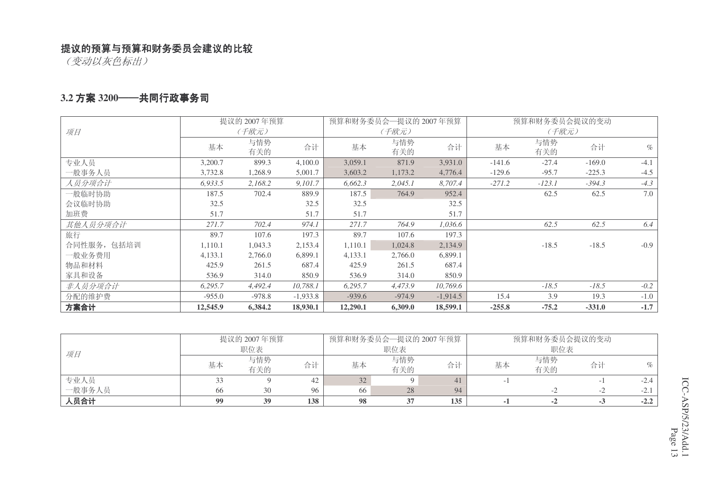(变动以灰色标出)

#### 3.2 方案 3200──共同行政事务司

|             |          | 提议的 2007年预算 |            |          | 预算和财务委员会一提议的 2007年预算 |            |          | 预算和财务委员会提议的变动 |          |        |
|-------------|----------|-------------|------------|----------|----------------------|------------|----------|---------------|----------|--------|
| 项目          |          | (千欧元)       |            |          | (千欧元)                |            |          | (千欧元)         |          |        |
|             | 基本       | 与情势         | 合计         | 基本       | 与情势                  | 合计         | 基本       | 与情势           | 合计       | $\%$   |
|             |          | 有关的         |            |          | 有关的                  |            |          | 有关的           |          |        |
| 专业人员        | 3,200.7  | 899.3       | 4,100.0    | 3,059.1  | 871.9                | 3,931.0    | $-141.6$ | $-27.4$       | $-169.0$ | $-4.1$ |
| 一般事务人员      | 3,732.8  | 1,268.9     | 5,001.7    | 3,603.2  | 1,173.2              | 4,776.4    | $-129.6$ | $-95.7$       | $-225.3$ | $-4.5$ |
| 人员分项合计      | 6,933.5  | 2,168.2     | 9,101.7    | 6,662.3  | 2,045.1              | 8,707.4    | $-271.2$ | $-123.1$      | $-394.3$ | $-4.3$ |
| 一般临时协助      | 187.5    | 702.4       | 889.9      | 187.5    | 764.9                | 952.4      |          | 62.5          | 62.5     | 7.0    |
| 会议临时协助      | 32.5     |             | 32.5       | 32.5     |                      | 32.5       |          |               |          |        |
| 加班费         | 51.7     |             | 51.7       | 51.7     |                      | 51.7       |          |               |          |        |
| 其他人员分项合计    | 271.7    | 702.4       | 974.1      | 271.7    | 764.9                | 1,036.6    |          | 62.5          | 62.5     | 6.4    |
| 旅行          | 89.7     | 107.6       | 197.3      | 89.7     | 107.6                | 197.3      |          |               |          |        |
| 合同性服务, 包括培训 | 1,110.1  | 1,043.3     | 2,153.4    | 1,110.1  | 1,024.8              | 2,134.9    |          | $-18.5$       | $-18.5$  | $-0.9$ |
| 一般业务费用      | 4,133.1  | 2,766.0     | 6,899.1    | 4,133.1  | 2,766.0              | 6,899.1    |          |               |          |        |
| 物品和材料       | 425.9    | 261.5       | 687.4      | 425.9    | 261.5                | 687.4      |          |               |          |        |
| 家具和设备       | 536.9    | 314.0       | 850.9      | 536.9    | 314.0                | 850.9      |          |               |          |        |
| 非人员分项合计     | 6,295.7  | 4,492.4     | 10,788.1   | 6,295.7  | 4,473.9              | 10,769.6   |          | $-18.5$       | $-18.5$  | $-0.2$ |
| 分配的维护费      | $-955.0$ | $-978.8$    | $-1,933.8$ | $-939.6$ | $-974.9$             | $-1,914.5$ | 15.4     | 3.9           | 19.3     | $-1.0$ |
| 方案合计        | 12,545.9 | 6,384.2     | 18,930.1   | 12,290.1 | 6,309.0              | 18,599.1   | $-255.8$ | $-75.2$       | $-331.0$ | $-1.7$ |

|        |    | 提议的 2007年预算 |     |    | 预算和财务委员会—提议的 2007年预算 |     |    | 预算和财务委员会提议的变动 |     |        |
|--------|----|-------------|-----|----|----------------------|-----|----|---------------|-----|--------|
| 项目     |    | 职位表         |     |    | 职位表                  |     |    | 职位表           |     |        |
|        | 基本 | 与情势<br>有关的  | 合计  | 基本 | 与情势<br>有关的           | 合计  | 基本 | 与情势<br>有关的    | 合计  | $\%$   |
| 专业人员   |    |             |     |    |                      | 41  |    |               |     | $-2.4$ |
| 一般事务人员 | 66 | 30          | 96  | 66 | 28                   | 94  |    |               |     |        |
| 人员合计   | 99 | 39          | 138 | 98 |                      | 135 |    |               | - 3 | $-2.2$ |

CC-ASP/5/23/Add.1 Page 13 ICC-ASP/5/23/Add.1 Page 13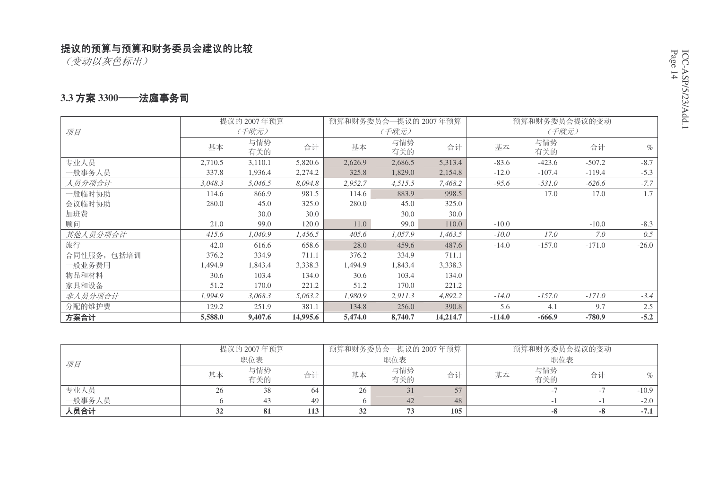(变动以灰色标出)

#### **3.3 方案 3300──法庭事务司**

|             | 提议的 2007年预算 |            |          |         | 预算和财务委员会一提议的 2007年预算 |          |          | 预算和财务委员会提议的变动 |          |         |
|-------------|-------------|------------|----------|---------|----------------------|----------|----------|---------------|----------|---------|
| 项目          |             | (千欧元)      |          |         | (千欧元)                |          |          | (千欧元)         |          |         |
|             | 基本          | 与情势<br>有关的 | 合计       | 基本      | 与情势<br>有关的           | 合计       | 基本       | 与情势<br>有关的    | 合计       | $\%$    |
| 专业人员        | 2,710.5     | 3,110.1    | 5,820.6  | 2,626.9 | 2,686.5              | 5,313.4  | $-83.6$  | $-423.6$      | $-507.2$ | $-8.7$  |
| 一般事务人员      | 337.8       | 1,936.4    | 2,274.2  | 325.8   | 1,829.0              | 2,154.8  | $-12.0$  | $-107.4$      | $-119.4$ | $-5.3$  |
| 人员分项合计      | 3,048.3     | 5,046.5    | 8,094.8  | 2,952.7 | 4,515.5              | 7,468.2  | $-95.6$  | $-531.0$      | $-626.6$ | $-7.7$  |
| 一般临时协助      | 114.6       | 866.9      | 981.5    | 114.6   | 883.9                | 998.5    |          | 17.0          | 17.0     | 1.7     |
| 会议临时协助      | 280.0       | 45.0       | 325.0    | 280.0   | 45.0                 | 325.0    |          |               |          |         |
| 加班费         |             | 30.0       | 30.0     |         | 30.0                 | 30.0     |          |               |          |         |
| 顾问          | 21.0        | 99.0       | 120.0    | 11.0    | 99.0                 | 110.0    | $-10.0$  |               | $-10.0$  | $-8.3$  |
| 其他人员分项合计    | 415.6       | 1.040.9    | 1,456.5  | 405.6   | 1,057.9              | 1,463.5  | $-10.0$  | 17.0          | 7.0      | 0.5     |
| 旅行          | 42.0        | 616.6      | 658.6    | 28.0    | 459.6                | 487.6    | $-14.0$  | $-157.0$      | $-171.0$ | $-26.0$ |
| 合同性服务, 包括培训 | 376.2       | 334.9      | 711.1    | 376.2   | 334.9                | 711.1    |          |               |          |         |
| 一般业务费用      | 1,494.9     | 1,843.4    | 3,338.3  | 1,494.9 | 1,843.4              | 3,338.3  |          |               |          |         |
| 物品和材料       | 30.6        | 103.4      | 134.0    | 30.6    | 103.4                | 134.0    |          |               |          |         |
| 家具和设备       | 51.2        | 170.0      | 221.2    | 51.2    | 170.0                | 221.2    |          |               |          |         |
| 非人员分项合计     | 1,994.9     | 3,068.3    | 5,063.2  | 1,980.9 | 2,911.3              | 4,892.2  | $-14.0$  | $-157.0$      | $-171.0$ | $-3.4$  |
| 分配的维护费      | 129.2       | 251.9      | 381.1    | 134.8   | 256.0                | 390.8    | 5.6      | 4.1           | 9.7      | 2.5     |
| 方案合计        | 5,588.0     | 9,407.6    | 14,995.6 | 5,474.0 | 8,740.7              | 14,214.7 | $-114.0$ | $-666.9$      | $-780.9$ | $-5.2$  |

|        |    | 提议的 2007年预算 |     |    | 预算和财务委员会—提议的 2007年预算 |     |     | 预算和财务委员会提议的变动 |    |         |
|--------|----|-------------|-----|----|----------------------|-----|-----|---------------|----|---------|
| 项目     |    | 职位表         |     |    | 职位表                  |     | 职位表 |               |    |         |
|        | 基本 | 与情势         | 合计  | 基本 | 与情势                  | 合计  | 基本  | 与情势           | 合计 | $\%$    |
|        |    | 有关的         |     |    | 有关的                  |     |     | 有关的           |    |         |
| 专业人员   | 26 | 38          | 64  | 26 |                      |     |     |               |    | $-10.9$ |
| 一般事务人员 |    |             | 49  |    | 42                   | 48  |     |               |    | $-2.0$  |
| 人员合计   |    | 81          | 113 |    |                      | 105 |     | -0            | -0 | $-7.1$  |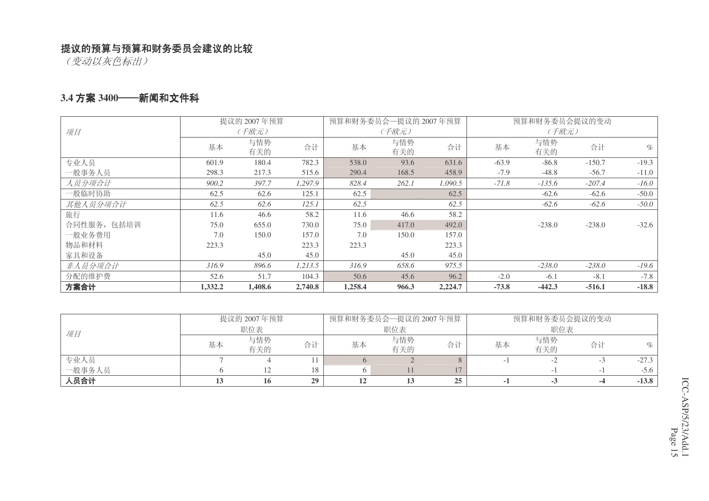(变动以灰色标出)

#### **3.4 方案 3400──新闻和文件科**

|             | 提议的 2007年预算 |         |         |         | 预算和财务委员会一提议的 2007年预算 |         |         | 预算和财务委员会提议的变动 |          |         |
|-------------|-------------|---------|---------|---------|----------------------|---------|---------|---------------|----------|---------|
| 项目          |             | (千欧元)   |         |         | (千欧元)                |         |         | (千欧元)         |          |         |
|             | 基本          | 与情势     | 合计      | 基本      | 与情势                  | 合计      | 基本      | 与情势           | 合计       | $\%$    |
|             |             | 有关的     |         |         | 有关的                  |         |         | 有关的           |          |         |
| 专业人员        | 601.9       | 180.4   | 782.3   | 538.0   | 93.6                 | 631.6   | $-63.9$ | $-86.8$       | $-150.7$ | $-19.3$ |
| 一般事务人员      | 298.3       | 217.3   | 515.6   | 290.4   | 168.5                | 458.9   | $-7.9$  | $-48.8$       | $-56.7$  | $-11.0$ |
| 人员分项合计      | 900.2       | 397.7   | 1,297.9 | 828.4   | 262.1                | 1,090.5 | $-71.8$ | $-135.6$      | $-207.4$ | $-16.0$ |
| 一般临时协助      | 62.5        | 62.6    | 125.1   | 62.5    |                      | 62.5    |         | $-62.6$       | $-62.6$  | $-50.0$ |
| 其他人员分项合计    | 62.5        | 62.6    | 125.1   | 62.5    |                      | 62.5    |         | $-62.6$       | $-62.6$  | $-50.0$ |
| 旅行          | 11.6        | 46.6    | 58.2    | 11.6    | 46.6                 | 58.2    |         |               |          |         |
| 合同性服务, 包括培训 | 75.0        | 655.0   | 730.0   | 75.0    | 417.0                | 492.0   |         | $-238.0$      | $-238.0$ | $-32.6$ |
| 一般业务费用      | 7.0         | 150.0   | 157.0   | 7.0     | 150.0                | 157.0   |         |               |          |         |
| 物品和材料       | 223.3       |         | 223.3   | 223.3   |                      | 223.3   |         |               |          |         |
| 家具和设备       |             | 45.0    | 45.0    |         | 45.0                 | 45.0    |         |               |          |         |
| 非人员分项合计     | 316.9       | 896.6   | 1,213.5 | 316.9   | 658.6                | 975.5   |         | $-238.0$      | $-238.0$ | $-19.6$ |
| 分配的维护费      | 52.6        | 51.7    | 104.3   | 50.6    | 45.6                 | 96.2    | $-2.0$  | $-6.1$        | $-8.1$   | $-7.8$  |
| 方案合计        | 1,332.2     | 1,408.6 | 2,740.8 | 1,258.4 | 966.3                | 2,224.7 | $-73.8$ | $-442.3$      | $-516.1$ | $-18.8$ |

|        |    | 提议的 2007年预算 |    |    | 预算和财务委员会—提议的 2007年预算 |    | 预算和财务委员会提议的变动 |            |     |         |
|--------|----|-------------|----|----|----------------------|----|---------------|------------|-----|---------|
| 项目     |    | 职位表         |    |    | 职位表                  |    | 职位表           |            |     |         |
|        | 基本 | 与情势<br>有关的  | 合计 | 基本 | 与情势<br>有关的           | 合计 | 基本            | 与情势<br>有关的 | 合计  | $\%$    |
| 专业人员   |    |             |    |    |                      |    |               |            | - 7 | $-27.3$ |
| 一般事务人员 |    |             | 18 |    |                      | 17 |               |            |     | $-5.6$  |
| 人员合计   |    | 10          | 29 |    |                      | 25 |               |            |     | $-13.8$ |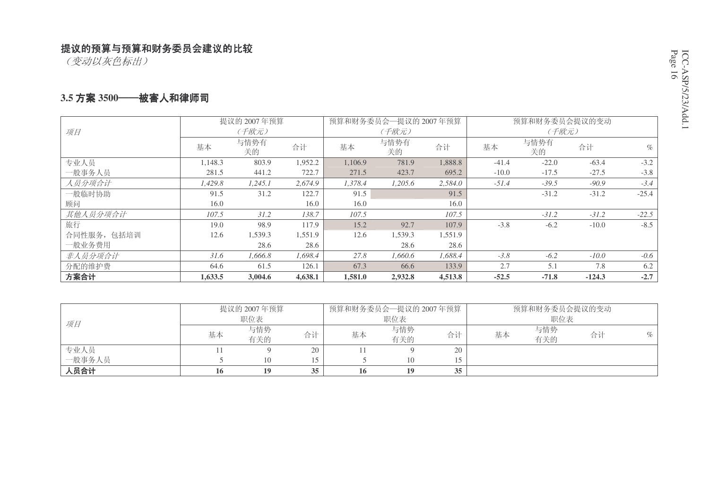(变动以灰色标出)

#### 3.5 方案 3500──被害人和律师司

|             |         | 提议的 2007年预算 |         |         | 预算和财务委员会—提议的 2007年预算 |         |         | 预算和财务委员会提议的变动 |          |         |
|-------------|---------|-------------|---------|---------|----------------------|---------|---------|---------------|----------|---------|
| 项目          |         | (千欧元)       |         |         | (千欧元)                |         |         | (千欧元)         |          |         |
|             | 基本      | 与情势有<br>关的  | 合计      | 基本      | 与情势有<br>关的           | 合计      | 基本      | 与情势有<br>关的    | 合计       | $\%$    |
| 专业人员        | 1,148.3 | 803.9       | 1,952.2 | 1,106.9 | 781.9                | 1,888.8 | $-41.4$ | $-22.0$       | $-63.4$  | $-3.2$  |
| 一般事务人员      | 281.5   | 441.2       | 722.7   | 271.5   | 423.7                | 695.2   | $-10.0$ | $-17.5$       | $-27.5$  | $-3.8$  |
| 人员分项合计      | 1,429.8 | 1,245.1     | 2,674.9 | 1.378.4 | 1.205.6              | 2,584.0 | $-51.4$ | $-39.5$       | $-90.9$  | $-3.4$  |
| 一般临时协助      | 91.5    | 31.2        | 122.7   | 91.5    |                      | 91.5    |         | $-31.2$       | $-31.2$  | $-25.4$ |
| 顾问          | 16.0    |             | 16.0    | 16.0    |                      | 16.0    |         |               |          |         |
| 其他人员分项合计    | 107.5   | 31.2        | 138.7   | 107.5   |                      | 107.5   |         | $-31.2$       | $-31.2$  | $-22.5$ |
| 旅行          | 19.0    | 98.9        | 117.9   | 15.2    | 92.7                 | 107.9   | $-3.8$  | $-6.2$        | $-10.0$  | $-8.5$  |
| 合同性服务, 包括培训 | 12.6    | 1,539.3     | 1,551.9 | 12.6    | 1,539.3              | 1,551.9 |         |               |          |         |
| 一般业务费用      |         | 28.6        | 28.6    |         | 28.6                 | 28.6    |         |               |          |         |
| 非人员分项合计     | 31.6    | 1.666.8     | 1.698.4 | 27.8    | 1.660.6              | 1.688.4 | $-3.8$  | $-6.2$        | $-10.0$  | $-0.6$  |
| 分配的维护费      | 64.6    | 61.5        | 126.1   | 67.3    | 66.6                 | 133.9   | 2.7     | 5.1           | 7.8      | 6.2     |
| 方案合计        | 1,633.5 | 3,004.6     | 4,638.1 | 1,581.0 | 2,932.8              | 4,513.8 | $-52.5$ | $-71.8$       | $-124.3$ | $-2.7$  |

|        |     | 提议的 2007年预算 |    | 预算和财务委员会—提议的 2007年预算 |            |    | 预算和财务委员会提议的变动 |            |    |      |
|--------|-----|-------------|----|----------------------|------------|----|---------------|------------|----|------|
| 项目     |     | 职位表         |    |                      | 职位表        |    |               | 职位表        |    |      |
|        | 基本  | 与情势<br>有关的  | 合计 | 基本                   | 与情势<br>有关的 | 合计 | 基本            | 与情势<br>有关的 | 合计 | $\%$ |
| 专业人员   |     |             | 20 |                      |            | 20 |               |            |    |      |
| 一般事务人员 |     | 10          |    |                      |            |    |               |            |    |      |
| 人员合计   | 10. | 19          | 35 | 16                   | 19         | 35 |               |            |    |      |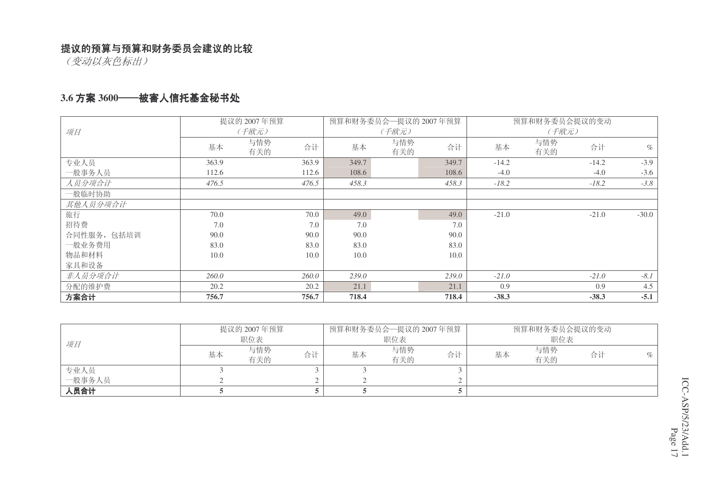(变动以灰色标出)

#### 3.6 方案 3600──被害人信托基金秘书处

|             |       | 提议的 2007年预算      |       | 预算和财务委员会一提议的 2007年预算 |       |         | 预算和财务委员会提议的变动 |         |         |
|-------------|-------|------------------|-------|----------------------|-------|---------|---------------|---------|---------|
| 项目          |       | (千欧元)            |       | (千欧元)                |       |         | (千欧元)         |         |         |
|             | 基本    | 与情势<br>合计<br>有关的 | 基本    | 与情势<br>有关的           | 合计    | 基本      | 与情势<br>有关的    | 合计      | $\%$    |
| 专业人员        | 363.9 | 363.9            | 349.7 |                      | 349.7 | $-14.2$ |               | $-14.2$ | $-3.9$  |
| 一般事务人员      | 112.6 | 112.6            | 108.6 |                      | 108.6 | $-4.0$  |               | $-4.0$  | $-3.6$  |
| 人员分项合计      | 476.5 | 476.5            | 458.3 |                      | 458.3 | $-18.2$ |               | $-18.2$ | $-3.8$  |
| 一般临时协助      |       |                  |       |                      |       |         |               |         |         |
| 其他人员分项合计    |       |                  |       |                      |       |         |               |         |         |
| 旅行          | 70.0  | 70.0             | 49.0  |                      | 49.0  | $-21.0$ |               | $-21.0$ | $-30.0$ |
| 招待费         | 7.0   | 7.0              | 7.0   |                      | 7.0   |         |               |         |         |
| 合同性服务, 包括培训 | 90.0  | 90.0             | 90.0  |                      | 90.0  |         |               |         |         |
| 一般业务费用      | 83.0  | 83.0             | 83.0  |                      | 83.0  |         |               |         |         |
| 物品和材料       | 10.0  | 10.0             | 10.0  |                      | 10.0  |         |               |         |         |
| 家具和设备       |       |                  |       |                      |       |         |               |         |         |
| 非人员分项合计     | 260.0 | 260.0            | 239.0 |                      | 239.0 | $-21.0$ |               | $-21.0$ | $-8.1$  |
| 分配的维护费      | 20.2  | 20.2             | 21.1  |                      | 21.1  | 0.9     |               | 0.9     | 4.5     |
| 方案合计        | 756.7 | 756.7            | 718.4 |                      | 718.4 | $-38.3$ |               | $-38.3$ | $-5.1$  |

|        |    | 提议的 2007年预算 |    | 预算和财务委员会—提议的 2007年预算 |            |    | 预算和财务委员会提议的变动 |            |    |      |
|--------|----|-------------|----|----------------------|------------|----|---------------|------------|----|------|
| 项目     |    | 职位表         |    |                      | 职位表        |    |               | 职位表        |    |      |
|        | 基本 | 与情势<br>有关的  | 合计 | 基本                   | 与情势<br>有关的 | 合计 | 基本            | 与情势<br>有关的 | 合计 | $\%$ |
| 专业人员   |    |             |    |                      |            |    |               |            |    |      |
| 一般事务人员 |    |             |    |                      |            |    |               |            |    |      |
| 人员合计   |    |             |    |                      |            |    |               |            |    |      |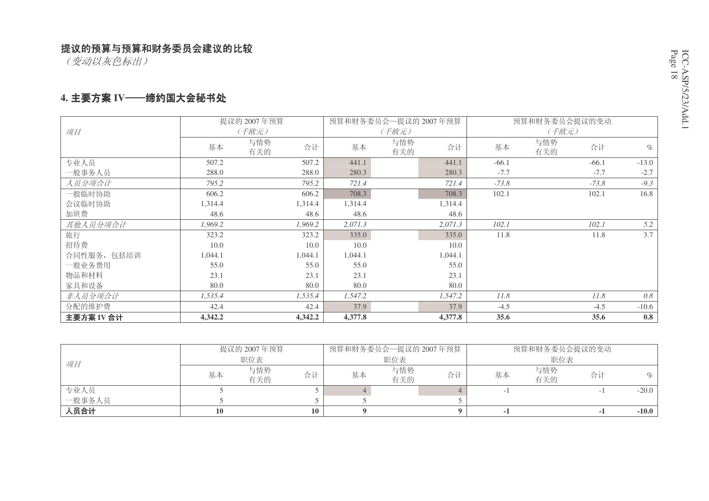(变动以灰色标出)

#### 4. 主要方案 IV——缔约国大会秘书处

|             |         | 提议的 2007年预算      |         | 预算和财务委员会—提议的 2007年预算 |         |         | 预算和财务委员会提议的变动    |         |
|-------------|---------|------------------|---------|----------------------|---------|---------|------------------|---------|
| 项目          |         | (千欧元)            |         | (千欧元)                |         |         | (千欧元)            |         |
|             | 基本      | 与情势<br>合计<br>有关的 | 基本      | 与情势<br>有关的           | 合计      | 基本      | 与情势<br>合计<br>有关的 | $\%$    |
| 专业人员        | 507.2   | 507.2            | 441.1   |                      | 441.1   | $-66.1$ | $-66.1$          | $-13.0$ |
| 一般事务人员      | 288.0   | 288.0            | 280.3   |                      | 280.3   | $-7.7$  | $-7.7$           | $-2.7$  |
| 人员分项合计      | 795.2   | 795.2            | 721.4   |                      | 721.4   | $-73.8$ | $-73.8$          | $-9.3$  |
| 一般临时协助      | 606.2   | 606.2            | 708.3   |                      | 708.3   | 102.1   | 102.1            | 16.8    |
| 会议临时协助      | 1,314.4 | 1,314.4          | 1,314.4 |                      | 1,314.4 |         |                  |         |
| 加班费         | 48.6    | 48.6             | 48.6    |                      | 48.6    |         |                  |         |
| 其他人员分项合计    | 1,969.2 | 1,969.2          | 2,071.3 |                      | 2,071.3 | 102.1   | 102.1            | 5.2     |
| 旅行          | 323.2   | 323.2            | 335.0   |                      | 335.0   | 11.8    | 11.8             | 3.7     |
| 招待费         | 10.0    | 10.0             | 10.0    |                      | 10.0    |         |                  |         |
| 合同性服务, 包括培训 | 1,044.1 | 1,044.1          | 1,044.1 |                      | 1,044.1 |         |                  |         |
| 一般业务费用      | 55.0    | 55.0             | 55.0    |                      | 55.0    |         |                  |         |
| 物品和材料       | 23.1    | 23.1             | 23.1    |                      | 23.1    |         |                  |         |
| 家具和设备       | 80.0    | 80.0             | 80.0    |                      | 80.0    |         |                  |         |
| 非人员分项合计     | 1,535.4 | 1,535.4          | 1,547.2 |                      | 1,547.2 | 11.8    | 11.8             | 0.8     |
| 分配的维护费      | 42.4    | 42.4             | 37.9    |                      | 37.9    | $-4.5$  | $-4.5$           | $-10.6$ |
| 主要方案 IV 合计  | 4,342.2 | 4,342.2          | 4,377.8 |                      | 4,377.8 | 35.6    | 35.6             | 0.8     |

|        |    | 提议的 2007年预算 |    |    | 预算和财务委员会—提议的 2007年预算 |    |    | 预算和财务委员会提议的变动 |    |         |  |
|--------|----|-------------|----|----|----------------------|----|----|---------------|----|---------|--|
| 项目     |    | 职位表         |    |    | 职位表                  |    |    | 职位表           |    |         |  |
|        | 基本 | 与情势<br>有关的  | 合计 | 基本 | 与情势<br>有关的           | 合计 | 基本 | 与情势<br>有关的    | 合计 | $\%$    |  |
| 专业人员   |    |             |    |    |                      |    |    |               |    | $-20.0$ |  |
| 一般事务人员 |    |             |    |    |                      |    |    |               |    |         |  |
| 人员合计   |    |             | 10 |    |                      |    |    |               |    | $-10.0$ |  |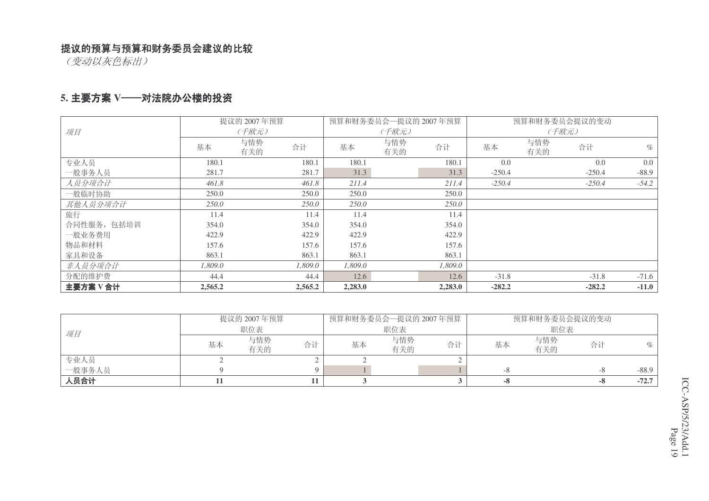(变动以灰色标出)

#### 5. 主要方案 Ⅴ──对法院办公楼的投资

|             |         | 提议的 2007年预算 |         | 预算和财务委员会一提议的 2007年预算 |            |         |          |            | 预算和财务委员会提议的变动 |         |
|-------------|---------|-------------|---------|----------------------|------------|---------|----------|------------|---------------|---------|
| 项目          |         | (千欧元)       |         |                      | (千欧元)      |         |          |            | (千欧元)         |         |
|             | 基本      | 与情势<br>有关的  | 合计      | 基本                   | 与情势<br>有关的 | 合计      | 基本       | 与情势<br>有关的 | 合计            | $\%$    |
| 专业人员        | 180.1   |             | 180.1   | 180.1                |            | 180.1   | 0.0      |            | 0.0           | $0.0\,$ |
| 一般事务人员      | 281.7   |             | 281.7   | 31.3                 |            | 31.3    | $-250.4$ |            | $-250.4$      | $-88.9$ |
| 人员分项合计      | 461.8   |             | 461.8   | 211.4                |            | 211.4   | $-250.4$ |            | $-250.4$      | $-54.2$ |
| 一般临时协助      | 250.0   |             | 250.0   | 250.0                |            | 250.0   |          |            |               |         |
| 其他人员分项合计    | 250.0   |             | 250.0   | 250.0                |            | 250.0   |          |            |               |         |
| 旅行          | 11.4    |             | 11.4    | 11.4                 |            | 11.4    |          |            |               |         |
| 合同性服务, 包括培训 | 354.0   |             | 354.0   | 354.0                |            | 354.0   |          |            |               |         |
| 一般业务费用      | 422.9   |             | 422.9   | 422.9                |            | 422.9   |          |            |               |         |
| 物品和材料       | 157.6   |             | 157.6   | 157.6                |            | 157.6   |          |            |               |         |
| 家具和设备       | 863.1   |             | 863.1   | 863.1                |            | 863.1   |          |            |               |         |
| 非人员分项合计     | 1.809.0 |             | 1.809.0 | 1.809.0              |            | 1,809.0 |          |            |               |         |
| 分配的维护费      | 44.4    |             | 44.4    | 12.6                 |            | 12.6    | $-31.8$  |            | $-31.8$       | $-71.6$ |
| 主要方案V合计     | 2,565.2 |             | 2,565.2 | 2,283.0              |            | 2,283.0 | $-282.2$ |            | $-282.2$      | $-11.0$ |

|        |    | 提议的 2007年预算 |    |    |            | 预算和财务委员会一提议的 2007年预算 |    | 预算和财务委员会提议的变动 |    |         |
|--------|----|-------------|----|----|------------|----------------------|----|---------------|----|---------|
| 项目     |    | 职位表         |    |    | 职位表        |                      |    | 职位表           |    |         |
|        | 基本 | 与情势<br>有关的  | 合计 | 基本 | 与情势<br>有关的 | 合计                   | 基本 | 与情势<br>有关的    | 合计 | $\%$    |
| 专业人员   |    |             |    |    |            |                      |    |               |    |         |
| 一般事务人员 |    |             |    |    |            |                      | -8 |               | -8 | $-88.9$ |
| 人员合计   |    |             |    |    |            |                      |    |               |    | $-72.7$ |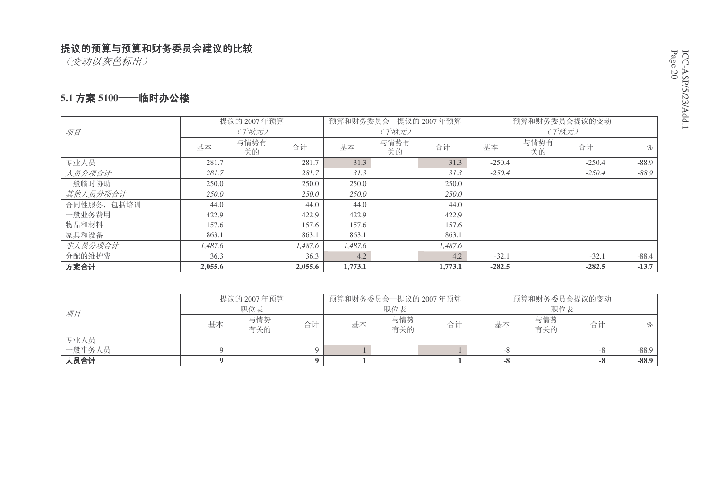(变动以灰色标出)

#### 5.1 方案 5100──临时办公楼

|            |         | 提议的 2007年预算 |         |         | 预算和财务委员会—提议的 2007年预算 |         |          | 预算和财务委员会提议的变动 |          |         |  |
|------------|---------|-------------|---------|---------|----------------------|---------|----------|---------------|----------|---------|--|
| 项目         | (千欧元)   |             |         |         | (千欧元)                |         | (千欧元)    |               |          |         |  |
|            | 基本      | 与情势有<br>关的  | 合计      | 基本      | 与情势有<br>关的           | 合计      | 基本       | 与情势有<br>关的    | 合计       | $\%$    |  |
| 专业人员       | 281.7   |             | 281.7   | 31.3    |                      | 31.3    | $-250.4$ |               | $-250.4$ | $-88.9$ |  |
| 人员分项合计     | 281.7   |             | 281.7   | 31.3    |                      | 31.3    | $-250.4$ |               | $-250.4$ | $-88.9$ |  |
| 一般临时协助     | 250.0   |             | 250.0   | 250.0   |                      | 250.0   |          |               |          |         |  |
| 其他人员分项合计   | 250.0   |             | 250.0   | 250.0   |                      | 250.0   |          |               |          |         |  |
| 合同性服务,包括培训 | 44.0    |             | 44.0    | 44.0    |                      | 44.0    |          |               |          |         |  |
| 一般业务费用     | 422.9   |             | 422.9   | 422.9   |                      | 422.9   |          |               |          |         |  |
| 物品和材料      | 157.6   |             | 157.6   | 157.6   |                      | 157.6   |          |               |          |         |  |
| 家具和设备      | 863.1   |             | 863.1   | 863.1   |                      | 863.1   |          |               |          |         |  |
| 非人员分项合计    | 1,487.6 |             | 1,487.6 | 1,487.6 |                      | 1,487.6 |          |               |          |         |  |
| 分配的维护费     | 36.3    |             | 36.3    | 4.2     |                      | 4.2     | $-32.1$  |               | $-32.1$  | $-88.4$ |  |
| 方案合计       | 2,055.6 |             | 2,055.6 | 1,773.1 |                      | 1,773.1 | $-282.5$ |               | $-282.5$ | $-13.7$ |  |

| 项目     | 提议的 2007年预算 |            |    | 预算和财务委员会—提议的 2007年预算 |            |    | 预算和财务委员会提议的变动 |            |    |         |
|--------|-------------|------------|----|----------------------|------------|----|---------------|------------|----|---------|
|        | 职位表         |            |    | 职位表                  |            |    | 职位表           |            |    |         |
|        | 基本          | 与情势<br>有关的 | 合计 | 基本                   | 与情势<br>有关的 | 合计 | 基本            | 与情势<br>有关的 | 合计 | $\%$    |
| 专业人员   |             |            |    |                      |            |    |               |            |    |         |
| 一般事务人员 |             |            |    |                      |            |    |               |            | -8 | $-88.9$ |
| 人员合计   |             |            |    |                      |            |    | -8            |            | -8 | $-88.9$ |